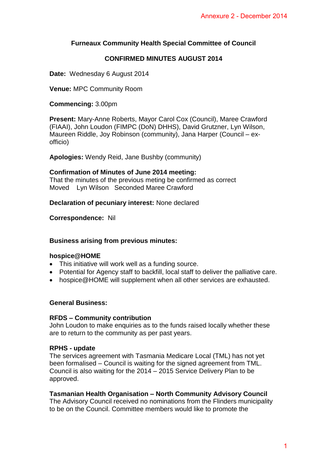# **Furneaux Community Health Special Committee of Council**

## **CONFIRMED MINUTES AUGUST 2014**

**Date:** Wednesday 6 August 2014

**Venue:** MPC Community Room

**Commencing:** 3.00pm

**Present:** Mary-Anne Roberts, Mayor Carol Cox (Council), Maree Crawford (FIAAI), John Loudon (FIMPC (DoN) DHHS), David Grutzner, Lyn Wilson, Maureen Riddle, Joy Robinson (community), Jana Harper (Council – exofficio) Annexure 2 - December 2014<br>
Inittee of Council<br>
IT 2014<br>
Uncil), Maree Crawford<br>
Grutzner, Lyn Wilson,<br>
darper (Council – ex-<br>
deliver the palliative care.<br>
Services are exhausted.<br>
Deliver the palliative care.<br>
Services a

**Apologies:** Wendy Reid, Jane Bushby (community)

# **Confirmation of Minutes of June 2014 meeting:**

That the minutes of the previous meting be confirmed as correct Moved Lyn Wilson Seconded Maree Crawford

**Declaration of pecuniary interest:** None declared

**Correspondence:** Nil

### **Business arising from previous minutes:**

#### **hospice@HOME**

- This initiative will work well as a funding source.
- Potential for Agency staff to backfill, local staff to deliver the palliative care.
- hospice@HOME will supplement when all other services are exhausted.

#### **General Business:**

#### **RFDS – Community contribution**

John Loudon to make enquiries as to the funds raised locally whether these are to return to the community as per past years.

#### **RPHS - update**

The services agreement with Tasmania Medicare Local (TML) has not yet been formalised – Council is waiting for the signed agreement from TML. Council is also waiting for the 2014 – 2015 Service Delivery Plan to be approved.

### **Tasmanian Health Organisation – North Community Advisory Council**

The Advisory Council received no nominations from the Flinders municipality to be on the Council. Committee members would like to promote the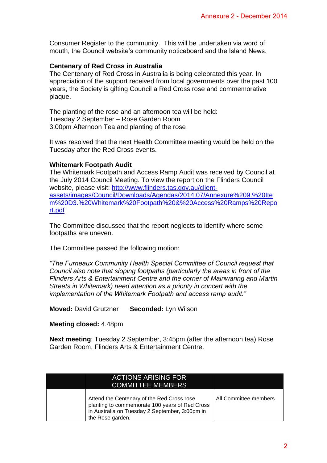#### **Centenary of Red Cross in Australia**

#### **Whitemark Footpath Audit**

#### **Meeting closed:** 4.48pm

|                                                                                                                                                        | Consumer Register to the community. This will be undertaken via word of<br>mouth, the Council website's community noticeboard and the Island News.                                                                                                                                                                                                                                         |  |
|--------------------------------------------------------------------------------------------------------------------------------------------------------|--------------------------------------------------------------------------------------------------------------------------------------------------------------------------------------------------------------------------------------------------------------------------------------------------------------------------------------------------------------------------------------------|--|
| plaque.                                                                                                                                                | <b>Centenary of Red Cross in Australia</b><br>The Centenary of Red Cross in Australia is being celebrated this year. In<br>appreciation of the support received from local governments over the past 100<br>years, the Society is gifting Council a Red Cross rose and commemorative                                                                                                       |  |
| The planting of the rose and an afternoon tea will be held:<br>Tuesday 2 September - Rose Garden Room<br>3:00pm Afternoon Tea and planting of the rose |                                                                                                                                                                                                                                                                                                                                                                                            |  |
|                                                                                                                                                        | It was resolved that the next Health Committee meeting would be held on the<br>Tuesday after the Red Cross events.                                                                                                                                                                                                                                                                         |  |
| <b>Whitemark Footpath Audit</b><br><u>rt.pdf</u>                                                                                                       | The Whitemark Footpath and Access Ramp Audit was received by Council at<br>the July 2014 Council Meeting. To view the report on the Flinders Council<br>website, please visit: http://www.flinders.tas.gov.au/client-<br>assets/images/Council/Downloads/Agendas/2014.07/Annexure%209.%20Ite<br>m%20D3.%20Whitemark%20Footpath%20&%20Access%20Ramps%20Repo                                 |  |
| footpaths are uneven.                                                                                                                                  | The Committee discussed that the report neglects to identify where some                                                                                                                                                                                                                                                                                                                    |  |
|                                                                                                                                                        | The Committee passed the following motion:                                                                                                                                                                                                                                                                                                                                                 |  |
|                                                                                                                                                        | "The Furneaux Community Health Special Committee of Council request that<br>Council also note that sloping footpaths (particularly the areas in front of the<br>Flinders Arts & Entertainment Centre and the corner of Mainwaring and Martin<br>Streets in Whitemark) need attention as a priority in concert with the<br>implementation of the Whitemark Footpath and access ramp audit." |  |
| <b>Moved: David Grutzner</b>                                                                                                                           | Seconded: Lyn Wilson                                                                                                                                                                                                                                                                                                                                                                       |  |
| Meeting closed: 4.48pm                                                                                                                                 |                                                                                                                                                                                                                                                                                                                                                                                            |  |
|                                                                                                                                                        | <b>Next meeting:</b> Tuesday 2 September, 3:45pm (after the afternoon tea) Rose<br>Garden Room, Flinders Arts & Entertainment Centre.                                                                                                                                                                                                                                                      |  |
|                                                                                                                                                        |                                                                                                                                                                                                                                                                                                                                                                                            |  |
|                                                                                                                                                        | <b>ACTIONS ARISING FOR</b><br><b>COMMITTEE MEMBERS</b>                                                                                                                                                                                                                                                                                                                                     |  |
|                                                                                                                                                        | All Committee members<br>Attend the Centenary of the Red Cross rose<br>planting to commemorate 100 years of Red Cross                                                                                                                                                                                                                                                                      |  |